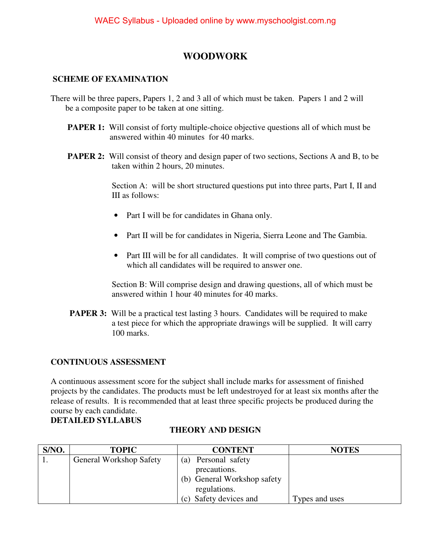### **WOODWORK**

#### **SCHEME OF EXAMINATION**

- There will be three papers, Papers 1, 2 and 3 all of which must be taken. Papers 1 and 2 will be a composite paper to be taken at one sitting.
	- **PAPER 1:** Will consist of forty multiple-choice objective questions all of which must be answered within 40 minutes for 40 marks.
	- **PAPER 2:** Will consist of theory and design paper of two sections, Sections A and B, to be taken within 2 hours, 20 minutes.

 Section A: will be short structured questions put into three parts, Part I, II and III as follows:

- Part I will be for candidates in Ghana only.
- Part II will be for candidates in Nigeria, Sierra Leone and The Gambia.
- Part III will be for all candidates. It will comprise of two questions out of which all candidates will be required to answer one.

 Section B: Will comprise design and drawing questions, all of which must be answered within 1 hour 40 minutes for 40 marks.

**PAPER 3:** Will be a practical test lasting 3 hours. Candidates will be required to make a test piece for which the appropriate drawings will be supplied. It will carry 100 marks.

### **CONTINUOUS ASSESSMENT**

A continuous assessment score for the subject shall include marks for assessment of finished projects by the candidates. The products must be left undestroyed for at least six months after the release of results. It is recommended that at least three specific projects be produced during the course by each candidate. **DETAILED SYLLABUS**

| S/NO. | <b>TOPIC</b>                   | <b>CONTENT</b>              | <b>NOTES</b>   |
|-------|--------------------------------|-----------------------------|----------------|
|       | <b>General Workshop Safety</b> | (a) Personal safety         |                |
|       |                                | precautions.                |                |
|       |                                | (b) General Workshop safety |                |
|       |                                | regulations.                |                |
|       |                                | (c) Safety devices and      | Types and uses |

### **THEORY AND DESIGN**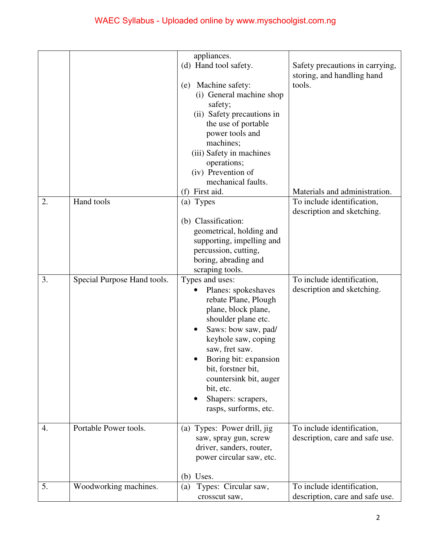|    |                             | appliances.<br>(d) Hand tool safety.<br>Machine safety:<br>(e)<br>(i) General machine shop<br>safety;<br>(ii) Safety precautions in<br>the use of portable<br>power tools and<br>machines;<br>(iii) Safety in machines<br>operations;<br>(iv) Prevention of                                                       | Safety precautions in carrying,<br>storing, and handling hand<br>tools. |
|----|-----------------------------|-------------------------------------------------------------------------------------------------------------------------------------------------------------------------------------------------------------------------------------------------------------------------------------------------------------------|-------------------------------------------------------------------------|
|    |                             | mechanical faults.<br>First aid.<br>(f)                                                                                                                                                                                                                                                                           | Materials and administration.                                           |
| 2. | Hand tools                  | (a) Types<br>(b) Classification:<br>geometrical, holding and<br>supporting, impelling and<br>percussion, cutting,<br>boring, abrading and<br>scraping tools.                                                                                                                                                      | To include identification,<br>description and sketching.                |
| 3. | Special Purpose Hand tools. | Types and uses:<br>Planes: spokeshaves<br>rebate Plane, Plough<br>plane, block plane,<br>shoulder plane etc.<br>Saws: bow saw, pad/<br>keyhole saw, coping<br>saw, fret saw.<br>Boring bit: expansion<br>bit, forstner bit,<br>countersink bit, auger<br>bit, etc.<br>Shapers: scrapers,<br>rasps, surforms, etc. | To include identification,<br>description and sketching.                |
| 4. | Portable Power tools.       | (a) Types: Power drill, jig<br>saw, spray gun, screw<br>driver, sanders, router,<br>power circular saw, etc.<br>Uses.<br>(b)                                                                                                                                                                                      | To include identification,<br>description, care and safe use.           |
| 5. | Woodworking machines.       | Types: Circular saw,<br>(a)<br>crosscut saw,                                                                                                                                                                                                                                                                      | To include identification,<br>description, care and safe use.           |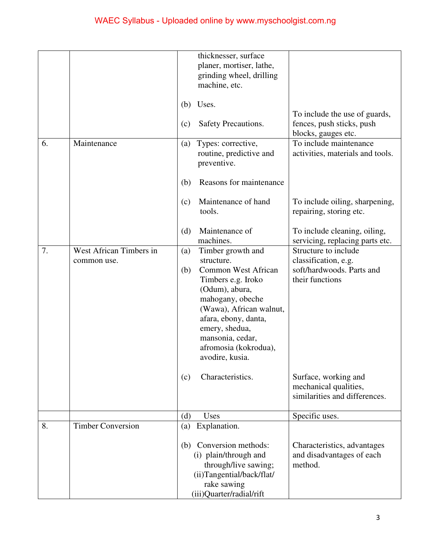|    |                          | (b)<br>(c) | thicknesser, surface<br>planer, mortiser, lathe,<br>grinding wheel, drilling<br>machine, etc.<br>Uses.<br>Safety Precautions.                                                                                                                                 | To include the use of guards,<br>fences, push sticks, push                                   |
|----|--------------------------|------------|---------------------------------------------------------------------------------------------------------------------------------------------------------------------------------------------------------------------------------------------------------------|----------------------------------------------------------------------------------------------|
| 6. | Maintenance              | (a)<br>(b) | Types: corrective,<br>routine, predictive and<br>preventive.<br>Reasons for maintenance                                                                                                                                                                       | blocks, gauges etc.<br>To include maintenance<br>activities, materials and tools.            |
|    |                          | (c)<br>(d) | Maintenance of hand<br>tools.<br>Maintenance of                                                                                                                                                                                                               | To include oiling, sharpening,<br>repairing, storing etc.<br>To include cleaning, oiling,    |
|    |                          |            | machines.                                                                                                                                                                                                                                                     | servicing, replacing parts etc.                                                              |
| 7. | West African Timbers in  | (a)        | Timber growth and                                                                                                                                                                                                                                             | Structure to include                                                                         |
|    | common use.              | (b)<br>(c) | structure.<br><b>Common West African</b><br>Timbers e.g. Iroko<br>(Odum), abura,<br>mahogany, obeche<br>(Wawa), African walnut,<br>afara, ebony, danta,<br>emery, shedua,<br>mansonia, cedar,<br>afromosia (kokrodua),<br>avodire, kusia.<br>Characteristics. | classification, e.g.<br>soft/hardwoods. Parts and<br>their functions<br>Surface, working and |
|    |                          |            |                                                                                                                                                                                                                                                               | mechanical qualities,<br>similarities and differences.                                       |
|    |                          | (d)        | Uses                                                                                                                                                                                                                                                          | Specific uses.                                                                               |
| 8. | <b>Timber Conversion</b> | (a)        | Explanation.                                                                                                                                                                                                                                                  |                                                                                              |
|    |                          | (b)        | Conversion methods:<br>(i) plain/through and<br>through/live sawing;<br>(ii)Tangential/back/flat/<br>rake sawing<br>(iii)Quarter/radial/rift                                                                                                                  | Characteristics, advantages<br>and disadvantages of each<br>method.                          |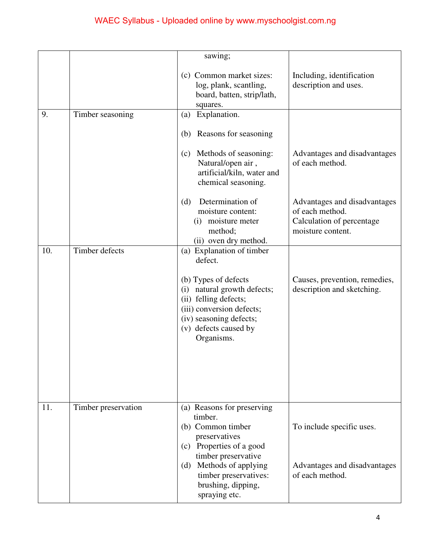|     |                     | sawing;                                                                                                                                                                        |                                                                                                   |
|-----|---------------------|--------------------------------------------------------------------------------------------------------------------------------------------------------------------------------|---------------------------------------------------------------------------------------------------|
|     |                     | (c) Common market sizes:<br>log, plank, scantling,<br>board, batten, strip/lath,<br>squares.                                                                                   | Including, identification<br>description and uses.                                                |
| 9.  | Timber seasoning    | Explanation.<br>(a)                                                                                                                                                            |                                                                                                   |
|     |                     | Reasons for seasoning<br>(b)                                                                                                                                                   |                                                                                                   |
|     |                     | Methods of seasoning:<br>(c)<br>Natural/open air,<br>artificial/kiln, water and<br>chemical seasoning.                                                                         | Advantages and disadvantages<br>of each method.                                                   |
|     |                     | Determination of<br>(d)<br>moisture content:<br>moisture meter<br>(i)<br>method;<br>(ii) oven dry method.                                                                      | Advantages and disadvantages<br>of each method.<br>Calculation of percentage<br>moisture content. |
| 10. | Timber defects      | (a) Explanation of timber<br>defect.                                                                                                                                           |                                                                                                   |
|     |                     | (b) Types of defects<br>natural growth defects;<br>(i)<br>(ii) felling defects;<br>(iii) conversion defects;<br>(iv) seasoning defects;<br>(v) defects caused by<br>Organisms. | Causes, prevention, remedies,<br>description and sketching.                                       |
|     |                     |                                                                                                                                                                                |                                                                                                   |
| 11. | Timber preservation | (a) Reasons for preserving<br>timber.<br>(b) Common timber<br>preservatives<br>Properties of a good<br>(c)                                                                     | To include specific uses.                                                                         |
|     |                     | timber preservative<br>(d) Methods of applying<br>timber preservatives:<br>brushing, dipping,<br>spraying etc.                                                                 | Advantages and disadvantages<br>of each method.                                                   |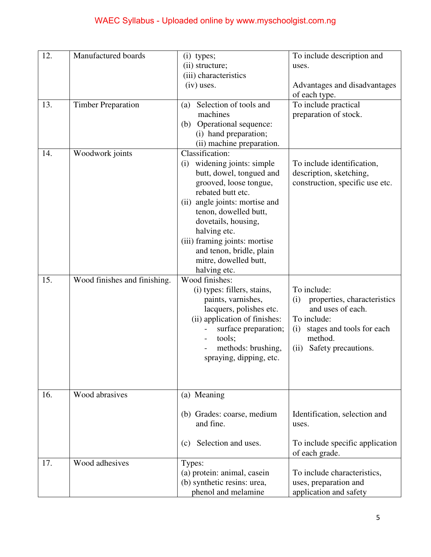| 12. | Manufactured boards          | $(i)$ types;                                | To include description and         |
|-----|------------------------------|---------------------------------------------|------------------------------------|
|     |                              | (ii) structure;                             | uses.                              |
|     |                              | (iii) characteristics                       |                                    |
|     |                              | $(iv)$ uses.                                | Advantages and disadvantages       |
|     |                              |                                             | of each type.                      |
| 13. | <b>Timber Preparation</b>    | Selection of tools and<br>(a)               | To include practical               |
|     |                              | machines                                    | preparation of stock.              |
|     |                              | Operational sequence:<br>(b)                |                                    |
|     |                              | (i) hand preparation;                       |                                    |
|     |                              | (ii) machine preparation.                   |                                    |
| 14. | Woodwork joints              | Classification:                             |                                    |
|     |                              | widening joints: simple<br>(i)              | To include identification,         |
|     |                              | butt, dowel, tongued and                    | description, sketching,            |
|     |                              | grooved, loose tongue,<br>rebated butt etc. | construction, specific use etc.    |
|     |                              | (ii) angle joints: mortise and              |                                    |
|     |                              | tenon, dowelled butt,                       |                                    |
|     |                              | dovetails, housing,                         |                                    |
|     |                              | halving etc.                                |                                    |
|     |                              | (iii) framing joints: mortise               |                                    |
|     |                              | and tenon, bridle, plain                    |                                    |
|     |                              | mitre, dowelled butt,                       |                                    |
|     |                              | halving etc.                                |                                    |
| 15. | Wood finishes and finishing. | Wood finishes:                              |                                    |
|     |                              | (i) types: fillers, stains,                 | To include:                        |
|     |                              | paints, varnishes,                          | properties, characteristics<br>(i) |
|     |                              | lacquers, polishes etc.                     | and uses of each.                  |
|     |                              | (ii) application of finishes:               | To include:                        |
|     |                              | surface preparation;                        | stages and tools for each<br>(i)   |
|     |                              | tools;                                      | method.                            |
|     |                              | methods: brushing,                          | Safety precautions.<br>(ii)        |
|     |                              | spraying, dipping, etc.                     |                                    |
|     |                              |                                             |                                    |
|     |                              |                                             |                                    |
| 16. | Wood abrasives               | (a) Meaning                                 |                                    |
|     |                              |                                             |                                    |
|     |                              | (b) Grades: coarse, medium                  | Identification, selection and      |
|     |                              | and fine.                                   | uses.                              |
|     |                              |                                             |                                    |
|     |                              | Selection and uses.<br>(c)                  | To include specific application    |
|     |                              |                                             | of each grade.                     |
| 17. | Wood adhesives               | Types:                                      |                                    |
|     |                              | (a) protein: animal, casein                 | To include characteristics,        |
|     |                              | (b) synthetic resins: urea,                 | uses, preparation and              |
|     |                              | phenol and melamine                         | application and safety             |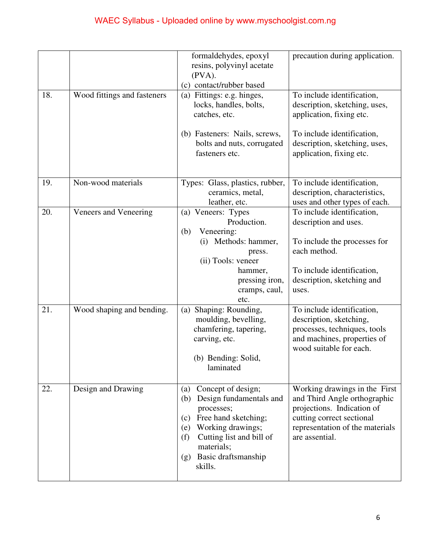|     |                             | formaldehydes, epoxyl<br>resins, polyvinyl acetate<br>$(PVA)$ .<br>(c) contact/rubber based                                                                                                                                    | precaution during application.                                                                                                                                                |
|-----|-----------------------------|--------------------------------------------------------------------------------------------------------------------------------------------------------------------------------------------------------------------------------|-------------------------------------------------------------------------------------------------------------------------------------------------------------------------------|
| 18. | Wood fittings and fasteners | (a) Fittings: e.g. hinges,<br>locks, handles, bolts,<br>catches, etc.                                                                                                                                                          | To include identification,<br>description, sketching, uses,<br>application, fixing etc.                                                                                       |
|     |                             | (b) Fasteners: Nails, screws,<br>bolts and nuts, corrugated<br>fasteners etc.                                                                                                                                                  | To include identification,<br>description, sketching, uses,<br>application, fixing etc.                                                                                       |
| 19. | Non-wood materials          | Types: Glass, plastics, rubber,<br>ceramics, metal,<br>leather, etc.                                                                                                                                                           | To include identification,<br>description, characteristics,<br>uses and other types of each.                                                                                  |
| 20. | Veneers and Veneering       | (a) Veneers: Types<br>Production.<br>Veneering:<br>(b)<br>(i) Methods: hammer,<br>press.<br>(ii) Tools: veneer<br>hammer,<br>pressing iron,<br>cramps, caul,<br>etc.                                                           | To include identification,<br>description and uses.<br>To include the processes for<br>each method.<br>To include identification,<br>description, sketching and<br>uses.      |
| 21. | Wood shaping and bending.   | $\overline{(a)}$ Shaping: Rounding,<br>moulding, bevelling,<br>chamfering, tapering,<br>carving, etc.<br>(b) Bending: Solid,<br>laminated                                                                                      | To include identification,<br>description, sketching,<br>processes, techniques, tools<br>and machines, properties of<br>wood suitable for each.                               |
| 22. | Design and Drawing          | Concept of design;<br>(a)<br>Design fundamentals and<br>(b)<br>processes;<br>Free hand sketching;<br>(c)<br>Working drawings;<br>(e)<br>Cutting list and bill of<br>(f)<br>materials;<br>Basic draftsmanship<br>(g)<br>skills. | Working drawings in the First<br>and Third Angle orthographic<br>projections. Indication of<br>cutting correct sectional<br>representation of the materials<br>are assential. |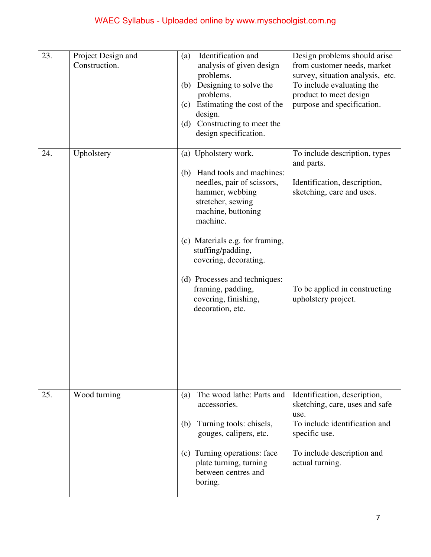| 23. | Project Design and<br>Construction. | Identification and<br>(a)<br>analysis of given design<br>problems.<br>Designing to solve the<br>(b)<br>problems.<br>Estimating the cost of the<br>(c)<br>design.<br>(d) Constructing to meet the<br>design specification.                                                                                                                          | Design problems should arise<br>from customer needs, market<br>survey, situation analysis, etc.<br>To include evaluating the<br>product to meet design<br>purpose and specification. |
|-----|-------------------------------------|----------------------------------------------------------------------------------------------------------------------------------------------------------------------------------------------------------------------------------------------------------------------------------------------------------------------------------------------------|--------------------------------------------------------------------------------------------------------------------------------------------------------------------------------------|
| 24. | Upholstery                          | (a) Upholstery work.<br>Hand tools and machines:<br>(b)<br>needles, pair of scissors,<br>hammer, webbing<br>stretcher, sewing<br>machine, buttoning<br>machine.<br>(c) Materials e.g. for framing,<br>stuffing/padding,<br>covering, decorating.<br>(d) Processes and techniques:<br>framing, padding,<br>covering, finishing,<br>decoration, etc. | To include description, types<br>and parts.<br>Identification, description,<br>sketching, care and uses.<br>To be applied in constructing<br>upholstery project.                     |
| 25. | Wood turning                        | The wood lathe: Parts and<br>(a)<br>accessories.<br>Turning tools: chisels,<br>(b)<br>gouges, calipers, etc.<br>(c) Turning operations: face<br>plate turning, turning<br>between centres and<br>boring.                                                                                                                                           | Identification, description,<br>sketching, care, uses and safe<br>use.<br>To include identification and<br>specific use.<br>To include description and<br>actual turning.            |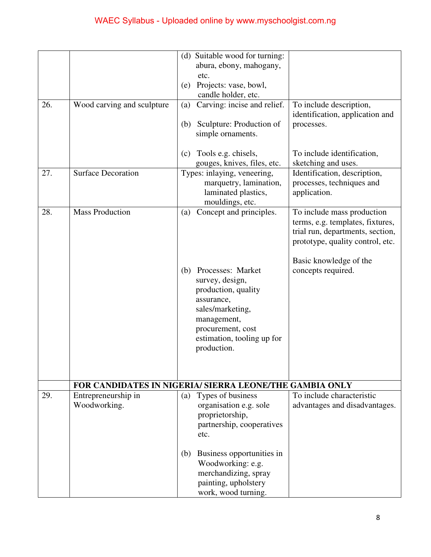|     |                                     | (d) Suitable wood for turning:<br>abura, ebony, mahogany,                                                                                                                             |                                                                                                                                        |
|-----|-------------------------------------|---------------------------------------------------------------------------------------------------------------------------------------------------------------------------------------|----------------------------------------------------------------------------------------------------------------------------------------|
|     |                                     | etc.<br>Projects: vase, bowl,<br>(e)<br>candle holder, etc.                                                                                                                           |                                                                                                                                        |
| 26. | Wood carving and sculpture          | Carving: incise and relief.<br>(a)                                                                                                                                                    | To include description,<br>identification, application and                                                                             |
|     |                                     | Sculpture: Production of<br>(b)<br>simple ornaments.                                                                                                                                  | processes.                                                                                                                             |
|     |                                     | Tools e.g. chisels,<br>(c)<br>gouges, knives, files, etc.                                                                                                                             | To include identification,<br>sketching and uses.                                                                                      |
| 27. | <b>Surface Decoration</b>           | Types: inlaying, veneering,<br>marquetry, lamination,<br>laminated plastics,<br>mouldings, etc.                                                                                       | Identification, description,<br>processes, techniques and<br>application.                                                              |
| 28. | <b>Mass Production</b>              | Concept and principles.<br>(a)                                                                                                                                                        | To include mass production<br>terms, e.g. templates, fixtures,<br>trial run, departments, section,<br>prototype, quality control, etc. |
|     |                                     | Processes: Market<br>(b)<br>survey, design,<br>production, quality<br>assurance,<br>sales/marketing,<br>management,<br>procurement, cost<br>estimation, tooling up for<br>production. | Basic knowledge of the<br>concepts required.                                                                                           |
|     |                                     | FOR CANDIDATES IN NIGERIA/ SIERRA LEONE/THE GAMBIA ONLY                                                                                                                               |                                                                                                                                        |
| 29. | Entrepreneurship in<br>Woodworking. | Types of business<br>(a)<br>organisation e.g. sole<br>proprietorship,<br>partnership, cooperatives<br>etc.                                                                            | To include characteristic<br>advantages and disadvantages.                                                                             |
|     |                                     | Business opportunities in<br>(b)<br>Woodworking: e.g.<br>merchandizing, spray<br>painting, upholstery<br>work, wood turning.                                                          |                                                                                                                                        |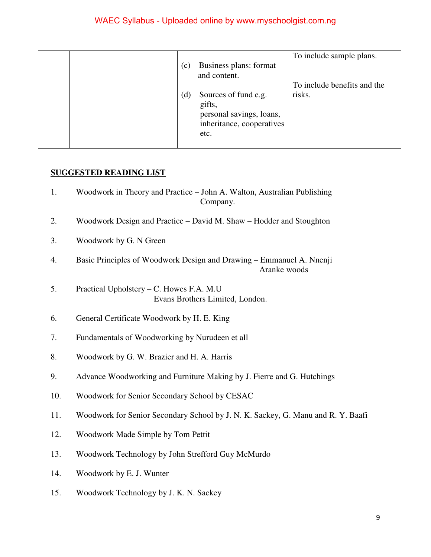| (c) | Business plans: format                                                                          | To include sample plans.    |
|-----|-------------------------------------------------------------------------------------------------|-----------------------------|
|     | and content.                                                                                    |                             |
|     |                                                                                                 | To include benefits and the |
| (d) | Sources of fund e.g.<br>gifts,<br>personal savings, loans,<br>inheritance, cooperatives<br>etc. | risks.                      |

#### **SUGGESTED READING LIST**

- 1. Woodwork in Theory and Practice John A. Walton, Australian Publishing Company.
- 2. Woodwork Design and Practice David M. Shaw Hodder and Stoughton
- 3. Woodwork by G. N Green
- 4. Basic Principles of Woodwork Design and Drawing Emmanuel A. Nnenji Aranke woods
- 5. Practical Upholstery C. Howes F.A. M.U Evans Brothers Limited, London.
- 6. General Certificate Woodwork by H. E. King
- 7. Fundamentals of Woodworking by Nurudeen et all
- 8. Woodwork by G. W. Brazier and H. A. Harris
- 9. Advance Woodworking and Furniture Making by J. Fierre and G. Hutchings
- 10. Woodwork for Senior Secondary School by CESAC
- 11. Woodwork for Senior Secondary School by J. N. K. Sackey, G. Manu and R. Y. Baafi
- 12. Woodwork Made Simple by Tom Pettit
- 13. Woodwork Technology by John Strefford Guy McMurdo
- 14. Woodwork by E. J. Wunter
- 15. Woodwork Technology by J. K. N. Sackey